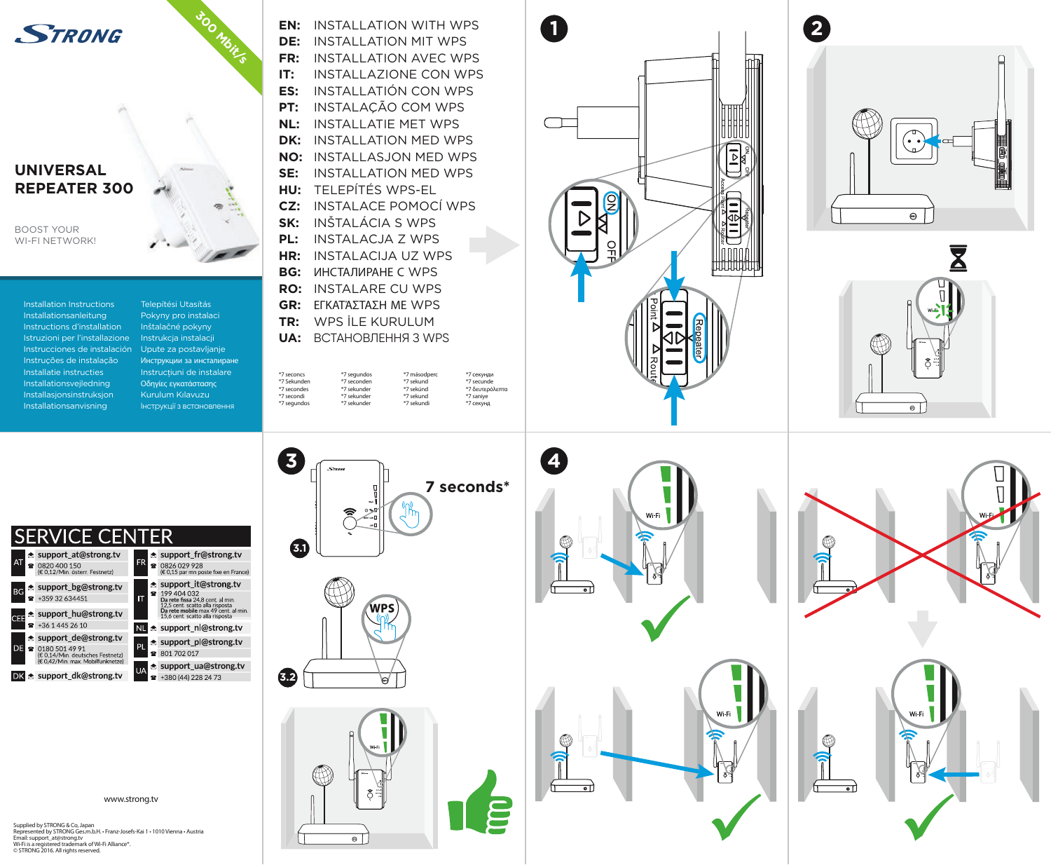

## **UNIVERSAL REPEATER 300**

BOOST YOUR WI-FI NETWORK!

Instrucciones de instalación Upute za postavljanje Installation Instructions Installationsanleitung Instructions d'installation Istruzioni per l'installazione Instruções de instalação Installatie instructies Installationsvejledning Installasjonsinstruksjon Installationsanvisning

Telepítési Utasítás Pokyny pro instalaci Inštalačné pokyny Instrukcja instalacji Инструкции за инсталиране Instructiuni de instalare Οδηγίες εγκατάστασης Kurulum Kılavuzu Інструкції з встановлення

**300 Mbit/s**

**EN:** INSTALLATION WITH WPS **DE:** INSTALLATION MIT WPS **FR:** INSTALLATION AVEC WPS **IT:** INSTALLAZIONE CON WPS **ES:** INSTALLATIÓN CON WPS **PT:** INSTALAÇÃO COM WPS **NL:** INSTALLATIE MET WPS **DK:** INSTALLATION MED WPS **NO:** INSTALLASJON MED WPS **SE:** INSTALLATION MED WPS **HU:** TELEPÍTÉS WPS-EL **CZ:** INSTALACE POMOCÍ WPS **SK:** INŠTALÁCIA S WPS **PL:** INSTALACJA Z WPS **HR:** INSTALACIJA UZ WPS **BG:** ИНСТАЛИРАНЕ С WPS **RO:** INSTALARE CU WPS **GR:** ΕΓΚΑΤΆΣΤΑΣΗ ΜΕ WPS **TR:** WPS İLE KURULUM **UA:** ВСТАНОВЛЕННЯ З WPS

\*7 seconcs \*7 Sekunden \*7 secondes \*7 secondi \*7 segundos \*7 segundos \*7 seconden \*7 sekunder \*7 sekunder \*7 sekunder \*7 másodperc \*7 sekund \*7 sekúnd \*7 sekund \*7 sekundi

\*7 секунди \*7 secunde \*7 δευτερόλεπτα \*7 saniye \*7 секунд



 $\bigodot$ 





## **SERVICE CENTER**

| ١T |    | support at@strong.tv                               | FR        |   | $\triangle$ support fr@strong.tv                                                   |
|----|----|----------------------------------------------------|-----------|---|------------------------------------------------------------------------------------|
|    | 金  | 0820 400 150<br>(€ 0,12/Min. österr. Festnetz)     |           | Ŧ | 0826 029 928<br>(€ 0,15 par mn poste fixe en France)                               |
| 3G |    | support_bg@strong.tv                               |           |   | support_it@strong.tv                                                               |
|    | 雷  | +359 32 634451                                     | IΤ        | Ŧ | 199 404 032<br>Da rete fissa 24,8 cent. al min.<br>12,5 cent. scatto alla risposta |
| EE | ◓▏ | support_hu@strong.tv                               |           |   | Da rete mobile max 49 cent, al min.<br>15,6 cent. scatto alla risposta             |
|    | 雷  | +36 1 445 26 10                                    | <b>NL</b> |   | <b>★</b> support_nl@strong.tv                                                      |
|    |    | support_de@strong.tv                               |           |   | <b>★</b> support_pl@strong.tv                                                      |
| 写  | 曾  | 0180 501 49 91<br>(€ 0.14/Min. deutsches Festnetz) | PI<br>UA  | 曾 | 801 702 017                                                                        |
|    |    | (€ 0.42/Min. max. Mobilfunknetze)                  |           | ◚ | support_ua@strong.tv                                                               |
|    |    | DK <del>▲</del> support_dk@strong.tv               |           |   | +380 (44) 228 24 73                                                                |
|    |    |                                                    |           |   |                                                                                    |



Supplied by STRONG & Co, Japan<br>Represented by STRONG G.Ges.m.b.H. • Franz-Josefs-Kai 1 • 1010 Vienna • Austria<br>Kh-Fi is a registered trademark of Wi-Fi Alliance®.<br>Wi-Fi is a registered trademark of Wi-Fi Alliance®.<br>© STRON